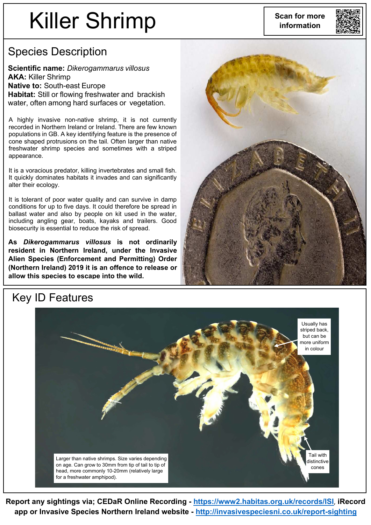## Killer Shrimp

**Scan for more information**



## Species Description

**Scientific name:** *Dikerogammarus villosus* **AKA:** Killer Shrimp **Native to:** South-east Europe **Habitat:** Still or flowing freshwater and brackish water, often among hard surfaces or vegetation.

A highly invasive non-native shrimp, it is not currently recorded in Northern Ireland or Ireland. There are few known populations in GB. A key identifying feature is the presence of cone shaped protrusions on the tail. Often larger than native freshwater shrimp species and sometimes with a striped appearance.

It is a voracious predator, killing invertebrates and small fish. It quickly dominates habitats it invades and can significantly alter their ecology.

It is tolerant of poor water quality and can survive in damp conditions for up to five days. It could therefore be spread in ballast water and also by people on kit used in the water, including angling gear, boats, kayaks and trailers. Good biosecurity is essential to reduce the risk of spread.

**As** *Dikerogammarus villosus* **is not ordinarily resident in Northern Ireland, under the Invasive Alien Species (Enforcement and Permitting) Order (Northern Ireland) 2019 it is an offence to release or allow this species to escape into the wild.**





**Report any sightings via; CEDaR Online Recording - <https://www2.habitas.org.uk/records/ISI>**, **iRecord app or Invasive Species Northern Ireland website - <http://invasivespeciesni.co.uk/report-sighting>**

## Key ID Features